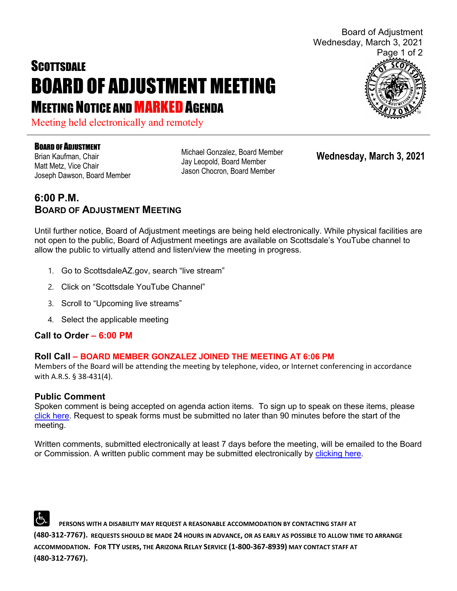# **SCOTTSDALE** BOARD OF ADJUSTMENT MEETING **MEETING NOTICE AND MARKED AGENDA**

Meeting held electronically and remotely

#### BOARD OF ADJUSTMENT

Brian Kaufman, Chair Matt Metz, Vice Chair Joseph Dawson, Board Member Michael Gonzalez, Board Member Jay Leopold, Board Member Jason Chocron, Board Member

**Wednesday, March 3, 2021**

### **6:00 P.M. BOARD OF ADJUSTMENT MEETING**

Until further notice, Board of Adjustment meetings are being held electronically. While physical facilities are not open to the public, Board of Adjustment meetings are available on Scottsdale's YouTube channel to allow the public to virtually attend and listen/view the meeting in progress.

- 1. Go to ScottsdaleAZ.gov, search "live stream"
- 2. Click on "Scottsdale YouTube Channel"
- 3. Scroll to "Upcoming live streams"
- 4. Select the applicable meeting

#### **Call to Order – 6:00 PM**

#### **Roll Call – BOARD MEMBER GONZALEZ JOINED THE MEETING AT 6:06 PM**

Members of the Board will be attending the meeting by telephone, video, or Internet conferencing in accordance with A.R.S. § 38-431(4).

#### **Public Comment**

Spoken comment is being accepted on agenda action items. To sign up to speak on these items, please [click here.](https://www.scottsdaleaz.gov/boards/board-of-adjustment/spoken-comment) Request to speak forms must be submitted no later than 90 minutes before the start of the meeting.

Written comments, submitted electronically at least 7 days before the meeting, will be emailed to the Board or Commission. A written public comment may be submitted electronically by [clicking here.](https://www.scottsdaleaz.gov/boards/board-of-adjustment/public-comment)

 **PERSONS WITH A DISABILITY MAY REQUEST A REASONABLE ACCOMMODATION BY CONTACTING STAFF AT (480-312-7767). REQUESTS SHOULD BE MADE 24 HOURS IN ADVANCE, OR AS EARLY AS POSSIBLE TO ALLOW TIME TO ARRANGE ACCOMMODATION. FOR TTY USERS, THE ARIZONA RELAY SERVICE (1-800-367-8939) MAY CONTACT STAFF AT (480-312-7767).** 



Board of Adjustment